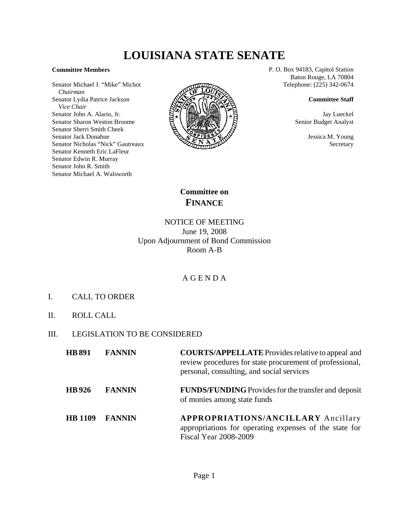# **LOUISIANA STATE SENATE**

#### **Committee Members**

Senator Michael J. "Mike" Michot  *Chairman* Senator Lydia Patrice Jackson  *Vice Chair* Senator John A. Alario, Jr. Senator Sharon Weston Broome Senator Sherri Smith Cheek Senator Jack Donahue Senator Nicholas "Nick" Gautreaux Senator Kenneth Eric LaFleur Senator Edwin R. Murray Senator John R. Smith Senator Michael A. Walsworth



P. O. Box 94183, Capitol Station Baton Rouge, LA 70804 Telephone: (225) 342-0674

#### **Committee Staff**

Jay Lueckel Senior Budget Analyst

> Jessica M. Young Secretary

**Committee on FINANCE**

### NOTICE OF MEETING June 19, 2008 Upon Adjournment of Bond Commission Room A-B

## A G E N D A

- I. CALL TO ORDER
- II. ROLL CALL
- III. LEGISLATION TO BE CONSIDERED

| <b>HB</b> 891  | <b>FANNIN</b> | <b>COURTS/APPELLATE</b> Provides relative to appeal and<br>review procedures for state procurement of professional,<br>personal, consulting, and social services |
|----------------|---------------|------------------------------------------------------------------------------------------------------------------------------------------------------------------|
| <b>HB</b> 926  | <b>FANNIN</b> | <b>FUNDS/FUNDING</b> Provides for the transfer and deposit<br>of monies among state funds                                                                        |
| <b>HB</b> 1109 | <b>FANNIN</b> | <b>APPROPRIATIONS/ANCILLARY Ancillary</b><br>appropriations for operating expenses of the state for<br><b>Fiscal Year 2008-2009</b>                              |